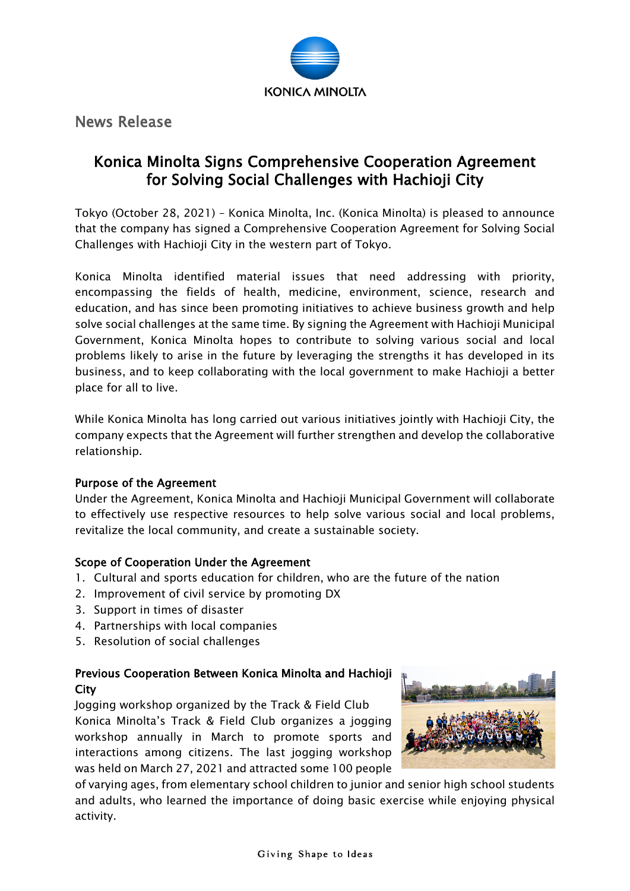

News Release

## Konica Minolta Signs Comprehensive Cooperation Agreement for Solving Social Challenges with Hachioji City

Tokyo (October 28, 2021) – Konica Minolta, Inc. (Konica Minolta) is pleased to announce that the company has signed a Comprehensive Cooperation Agreement for Solving Social Challenges with Hachioji City in the western part of Tokyo.

Konica Minolta identified material issues that need addressing with priority, encompassing the fields of health, medicine, environment, science, research and education, and has since been promoting initiatives to achieve business growth and help solve social challenges at the same time. By signing the Agreement with Hachioji Municipal Government, Konica Minolta hopes to contribute to solving various social and local problems likely to arise in the future by leveraging the strengths it has developed in its business, and to keep collaborating with the local government to make Hachioji a better place for all to live.

While Konica Minolta has long carried out various initiatives jointly with Hachioji City, the company expects that the Agreement will further strengthen and develop the collaborative relationship.

## Purpose of the Agreement

Under the Agreement, Konica Minolta and Hachioji Municipal Government will collaborate to effectively use respective resources to help solve various social and local problems, revitalize the local community, and create a sustainable society.

## Scope of Cooperation Under the Agreement

- 1. Cultural and sports education for children, who are the future of the nation
- 2. Improvement of civil service by promoting DX
- 3. Support in times of disaster
- 4. Partnerships with local companies
- 5. Resolution of social challenges

## Previous Cooperation Between Konica Minolta and Hachioji **City**

Jogging workshop organized by the Track & Field Club Konica Minolta's Track & Field Club organizes a jogging workshop annually in March to promote sports and interactions among citizens. The last jogging workshop was held on March 27, 2021 and attracted some 100 people



of varying ages, from elementary school children to junior and senior high school students and adults, who learned the importance of doing basic exercise while enjoying physical activity.